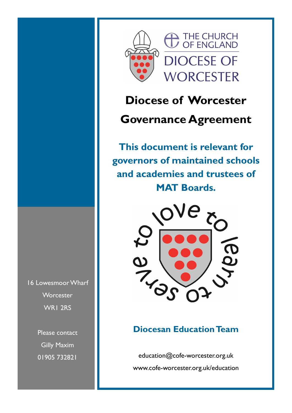



# **Diocese of Worcester**

## **Governance Agreement**

**This document is relevant for governors of maintained schools and academies and trustees of MAT Boards.**



### **Diocesan Education Team**

education@cofe-worcester.org.uk www.cofe-worcester.org.uk/education

16 Lowesmoor Wharf **Worcester** WR1 2RS

> Please contact Gilly Maxim 01905 732821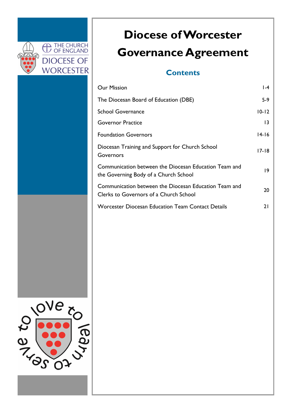

# **Diocese of Worcester Governance Agreement**

### **Contents**

| <b>Our Mission</b>                                                                              | $ -4$           |
|-------------------------------------------------------------------------------------------------|-----------------|
| The Diocesan Board of Education (DBE)                                                           | $5-9$           |
| <b>School Governance</b>                                                                        | $10 - 12$       |
| <b>Governor Practice</b>                                                                        | $ 3\rangle$     |
| <b>Foundation Governors</b>                                                                     | 14-16           |
| Diocesan Training and Support for Church School<br>Governors                                    | 17-18           |
| Communication between the Diocesan Education Team and<br>the Governing Body of a Church School  | $\overline{19}$ |
| Communication between the Diocesan Education Team and<br>Clerks to Governors of a Church School | 20              |
| <b>Worcester Diocesan Education Team Contact Details</b>                                        | 21              |

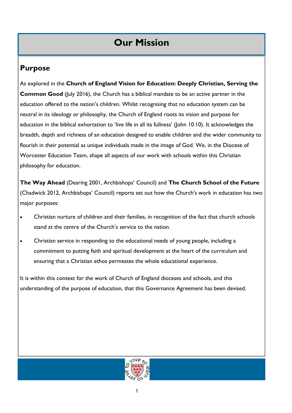### **Purpose**

As explored in the **Church of England Vision for Education: Deeply Christian, Serving the Common Good** (July 2016), the Church has a biblical mandate to be an active partner in the education offered to the nation's children. Whilst recognising that no education system can be neutral in its ideology or philosophy, the Church of England roots its vision and purpose for education in the biblical exhortation to 'live life in all its fullness' (John 10.10). It acknowledges the breadth, depth and richness of an education designed to enable children and the wider community to flourish in their potential as unique individuals made in the image of God. We, in the Diocese of Worcester Education Team, shape all aspects of our work with schools within this Christian philosophy for education.

**The Way Ahead** (Dearing 2001, Archbishops' Council) and **The Church School of the Future**  (Chadwick 2012, Archbishops' Council) reports set out how the Church's work in education has two major purposes:

- Christian nurture of children and their families, in recognition of the fact that church schools stand at the centre of the Church's service to the nation.
- Christian service in responding to the educational needs of young people, including a commitment to putting faith and spiritual development at the heart of the curriculum and ensuring that a Christian ethos permeates the whole educational experience.

It is within this context for the work of Church of England dioceses and schools, and this understanding of the purpose of education, that this Governance Agreement has been devised.

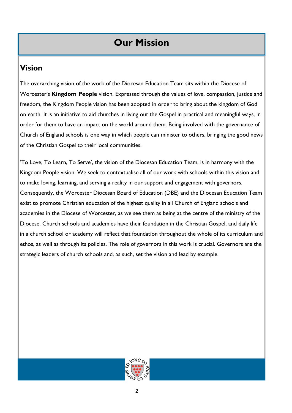### **Vision**

The overarching vision of the work of the Diocesan Education Team sits within the Diocese of Worcester's **Kingdom People** vision. Expressed through the values of love, compassion, justice and freedom, the Kingdom People vision has been adopted in order to bring about the kingdom of God on earth. It is an initiative to aid churches in living out the Gospel in practical and meaningful ways, in order for them to have an impact on the world around them. Being involved with the governance of Church of England schools is one way in which people can minister to others, bringing the good news of the Christian Gospel to their local communities.

'To Love, To Learn, To Serve', the vision of the Diocesan Education Team, is in harmony with the Kingdom People vision. We seek to contextualise all of our work with schools within this vision and to make loving, learning, and serving a reality in our support and engagement with governors. Consequently, the Worcester Diocesan Board of Education (DBE) and the Diocesan Education Team exist to promote Christian education of the highest quality in all Church of England schools and academies in the Diocese of Worcester, as we see them as being at the centre of the ministry of the Diocese. Church schools and academies have their foundation in the Christian Gospel, and daily life in a church school or academy will reflect that foundation throughout the whole of its curriculum and ethos, as well as through its policies. The role of governors in this work is crucial. Governors are the strategic leaders of church schools and, as such, set the vision and lead by example.

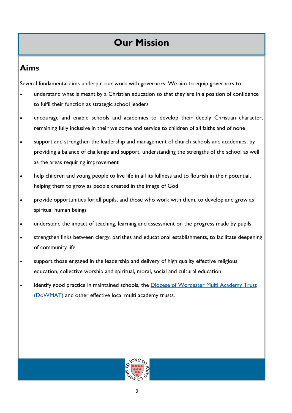### **Aims**

Several fundamental aims underpin our work with governors. We aim to equip governors to:

- understand what is meant by a Christian education so that they are in a position of confidence to fulfil their function as strategic school leaders
- encourage and enable schools and academies to develop their deeply Christian character, remaining fully inclusive in their welcome and service to children of all faiths and of none
- support and strengthen the leadership and management of church schools and academies, by providing a balance of challenge and support, understanding the strengths of the school as well as the areas requiring improvement
- help children and young people to live life in all its fullness and to flourish in their potential, helping them to grow as people created in the image of God
- provide opportunities for all pupils, and those who work with them, to develop and grow as spiritual human beings
- understand the impact of teaching, learning and assessment on the progress made by pupils
- strengthen links between clergy, parishes and educational establishments, to facilitate deepening of community life
- support those engaged in the leadership and delivery of high quality effective religious education, collective worship and spiritual, moral, social and cultural education
- identify good practice in maintained schools, the Diocese of Worcester Multi Academy Trust [\(DoWMAT\)](http://www.dowmat.education/) and other effective local multi academy trusts.

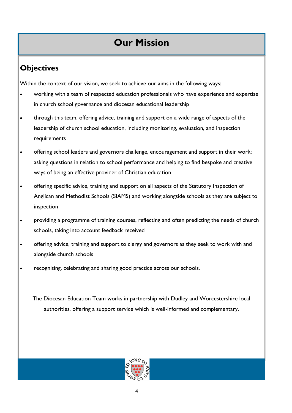## **Objectives**

Within the context of our vision, we seek to achieve our aims in the following ways:

- working with a team of respected education professionals who have experience and expertise in church school governance and diocesan educational leadership
- through this team, offering advice, training and support on a wide range of aspects of the leadership of church school education, including monitoring, evaluation, and inspection requirements
- offering school leaders and governors challenge, encouragement and support in their work; asking questions in relation to school performance and helping to find bespoke and creative ways of being an effective provider of Christian education
- offering specific advice, training and support on all aspects of the Statutory Inspection of Anglican and Methodist Schools (SIAMS) and working alongside schools as they are subject to inspection
- providing a programme of training courses, reflecting and often predicting the needs of church schools, taking into account feedback received
- offering advice, training and support to clergy and governors as they seek to work with and alongside church schools
- recognising, celebrating and sharing good practice across our schools.

The Diocesan Education Team works in partnership with Dudley and Worcestershire local authorities, offering a support service which is well-informed and complementary.

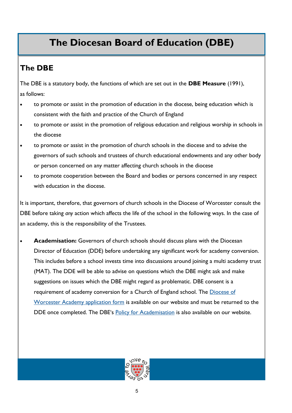## **The DBE**

The DBE is a statutory body, the functions of which are set out in the **DBE Measure** (1991), as follows:

- to promote or assist in the promotion of education in the diocese, being education which is consistent with the faith and practice of the Church of England
- to promote or assist in the promotion of religious education and religious worship in schools in the diocese
- to promote or assist in the promotion of church schools in the diocese and to advise the governors of such schools and trustees of church educational endowments and any other body or person concerned on any matter affecting church schools in the diocese
- to promote cooperation between the Board and bodies or persons concerned in any respect with education in the diocese.

It is important, therefore, that governors of church schools in the Diocese of Worcester consult the DBE before taking *any* action which affects the life of the school in the following ways. In the case of an academy, this is the responsibility of the Trustees.

• **Academisation:** Governors of church schools should discuss plans with the Diocesan Director of Education (DDE) before undertaking any significant work for academy conversion. This includes before a school invests time into discussions around joining a multi academy trust (MAT). The DDE will be able to advise on questions which the DBE might ask and make suggestions on issues which the DBE might regard as problematic. DBE consent is a requirement of academy conversion for a Church of England school. The Diocese of [Worcester Academy application form](https://www.cofe-worcester.org.uk/children-youth-education/schools-and-education/becoming-an-academy/) is available on our website and must be returned to the DDE once completed. The DBE's [Policy for Academisation](https://cofeworcester.contentfiles.net/media/assets/file/DBE_Academy_Policy_with_Appendices_-_October_2018.pdf) is also available on our website.

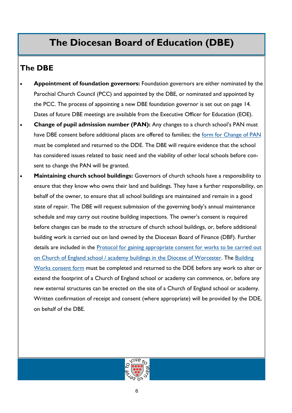### **The DBE**

- **Appointment of foundation governors:** Foundation governors are either nominated by the Parochial Church Council (PCC) and appointed by the DBE, or nominated and appointed by the PCC. The process of appointing a new DBE foundation governor is set out on page 14. Dates of future DBE meetings are available from the Executive Officer for Education (EOE).
- **Change of pupil admission number (PAN):** Any changes to a church school's PAN must have DBE consent before additional places are offered to families; the [form for Change of PAN](https://www.cofe-worcester.org.uk/schools/school-governance/) must be completed and returned to the DDE. The DBE will require evidence that the school has considered issues related to basic need and the viability of other local schools before consent to change the PAN will be granted.
- **Maintaining church school buildings:** Governors of church schools have a responsibility to ensure that they know who owns their land and buildings. They have a further responsibility, on behalf of the owner, to ensure that all school buildings are maintained and remain in a good state of repair. The DBE will request submission of the governing body's annual maintenance schedule and may carry out routine building inspections. The owner's consent is required before changes can be made to the structure of church school buildings, or, before additional building work is carried out on land owned by the Diocesan Board of Finance (DBF). Further details are included in the [Protocol for gaining appropriate consent for works to be carried out](https://www.cofe-worcester.org.uk/schools/school-governance/)  [on Church of England school / academy buildings in the Diocese of Worcester.](https://www.cofe-worcester.org.uk/schools/school-governance/) The [Building](https://www.cofe-worcester.org.uk/schools/school-governance/)  [Works consent form](https://www.cofe-worcester.org.uk/schools/school-governance/) must be completed and returned to the DDE before any work to alter or extend the footprint of a Church of England school or academy can commence, or, before any new external structures can be erected on the site of a Church of England school or academy. Written confirmation of receipt and consent (where appropriate) will be provided by the DDE, on behalf of the DBE.

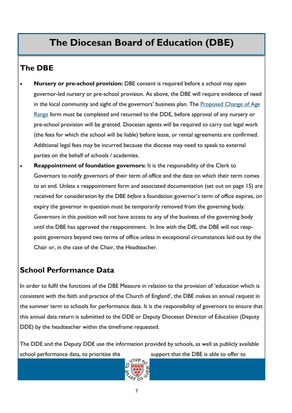### **The DBE**

- **Nursery or pre-school provision:** DBE consent is required before a school may open governor-led nursery or pre-school provision. As above, the DBE will require evidence of need in the local community and sight of the governors' business plan. The Proposed Change of Age [Range](https://www.cofe-worcester.org.uk/schools/school-governance/) form must be completed and returned to the DDE, before approval of any nursery or pre-school provision will be granted. Diocesan agents will be required to carry out legal work (the fees for which the school will be liable) before lease, or rental agreements are confirmed. Additional legal fees may be incurred because the diocese may need to speak to external parties on the behalf of schools / academies.
- **Reappointment of foundation governors:** It is the responsibility of the Clerk to Governors to notify governors of their term of office and the date on which their term comes to an end. Unless a reappointment form and associated documentation (set out on page 15) are received for consideration by the DBE *before* a foundation governor's term of office expires, on expiry the governor in question must be temporarily removed from the governing body. Governors in this position will not have access to any of the business of the governing body until the DBE has approved the reappointment. In line with the DfE, the DBE will not reappoint governors beyond two terms of office unless in exceptional circumstances laid out by the Chair or, in the case of the Chair, the Headteacher.

### **School Performance Data**

In order to fulfil the functions of the DBE Measure in relation to the provision of 'education which is consistent with the faith and practice of the Church of England', the DBE makes an annual request in the summer term to schools for performance data. It is the responsibility of governors to ensure that this annual data return is submitted to the DDE or Deputy Diocesan Director of Education (Deputy DDE) by the headteacher within the timeframe requested.

The DDE and the Deputy DDE use the information provided by schools, as well as publicly available school performance data, to prioritise the support that the DBE is able to offer to support that the DBE is able to offer to

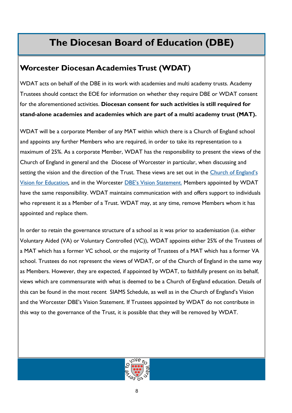### **Worcester Diocesan Academies Trust (WDAT)**

WDAT acts on behalf of the DBE in its work with academies and multi academy trusts. Academy Trustees should contact the EOE for information on whether they require DBE or WDAT consent for the aforementioned activities. **Diocesan consent for such activities is still required for stand-alone academies and academies which are part of a multi academy trust (MAT).** 

WDAT will be a corporate Member of any MAT within which there is a Church of England school and appoints any further Members who are required, in order to take its representation to a maximum of 25%. As a corporate Member, WDAT has the responsibility to present the views of the Church of England in general and the Diocese of Worcester in particular, when discussing and setting the vision and the direction of the Trust. These views are set out in the [Church of England's](https://www.churchofengland.org/sites/default/files/2017-10/2016%20Church%20of%20England%20Vision%20for%20Education%20WEB%20FINAL.pdf)  [Vision for Education](https://www.churchofengland.org/sites/default/files/2017-10/2016%20Church%20of%20England%20Vision%20for%20Education%20WEB%20FINAL.pdf)*,* and in the Worcester [DBE's Vision Statement.](https://cofeworcester.contentfiles.net/media/assets/file/DBE_Vision_Statement_-_November_2017.pdf) Members appointed by WDAT have the same responsibility. WDAT maintains communication with and offers support to individuals who represent it as a Member of a Trust. WDAT may, at any time, remove Members whom it has appointed and replace them.

In order to retain the governance structure of a school as it was prior to academisation (i.e. either Voluntary Aided (VA) or Voluntary Controlled (VC)), WDAT appoints either 25% of the Trustees of a MAT which has a former VC school, or the majority of Trustees of a MAT which has a former VA school. Trustees do not represent the views of WDAT, or of the Church of England in the same way as Members. However, they are expected, if appointed by WDAT, to faithfully present on its behalf, views which are commensurate with what is deemed to be a Church of England education. Details of this can be found in the most recent SIAMS Schedule, as well as in the Church of England's Vision and the Worcester DBE's Vision Statement. If Trustees appointed by WDAT do not contribute in this way to the governance of the Trust, it is possible that they will be removed by WDAT.

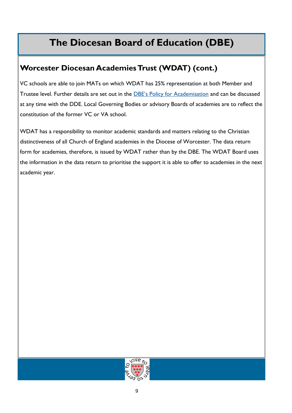### **Worcester Diocesan Academies Trust (WDAT) (cont.)**

VC schools are able to join MATs on which WDAT has 25% representation at both Member and Trustee level. Further details are set out in the [DBE's Policy for Academisation](https://cofeworcester.contentfiles.net/media/assets/file/DBE_Academy_Policy_with_Appendices_-_October_2018.pdf) and can be discussed at any time with the DDE. Local Governing Bodies or advisory Boards of academies are to reflect the constitution of the former VC or VA school.

WDAT has a responsibility to monitor academic standards and matters relating to the Christian distinctiveness of all Church of England academies in the Diocese of Worcester. The data return form for academies, therefore, is issued by WDAT rather than by the DBE. The WDAT Board uses the information in the data return to prioritise the support it is able to offer to academies in the next academic year.

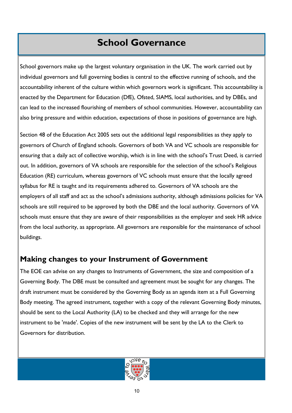## **School Governance**

School governors make up the largest voluntary organisation in the UK. The work carried out by individual governors and full governing bodies is central to the effective running of schools, and the accountability inherent of the culture within which governors work is significant. This accountability is enacted by the Department for Education (DfE), Ofsted, SIAMS, local authorities, and by DBEs, and can lead to the increased flourishing of members of school communities. However, accountability can also bring pressure and within education, expectations of those in positions of governance are high.

Section 48 of the Education Act 2005 sets out the additional legal responsibilities as they apply to governors of Church of England schools. Governors of both VA and VC schools are responsible for ensuring that a daily act of collective worship, which is in line with the school's Trust Deed, is carried out. In addition, governors of VA schools are responsible for the selection of the school's Religious Education (RE) curriculum, whereas governors of VC schools must ensure that the locally agreed syllabus for RE is taught and its requirements adhered to. Governors of VA schools are the employers of all staff and act as the school's admissions authority, although admissions policies for VA schools are still required to be approved by both the DBE and the local authority. Governors of VA schools must ensure that they are aware of their responsibilities as the employer and seek HR advice from the local authority, as appropriate. All governors are responsible for the maintenance of school buildings.

### **Making changes to your Instrument of Government**

The EOE can advise on any changes to Instruments of Government, the size and composition of a Governing Body. The DBE must be consulted and agreement must be sought for any changes. The draft instrument must be considered by the Governing Body as an agenda item at a Full Governing Body meeting. The agreed instrument, together with a copy of the relevant Governing Body minutes, should be sent to the Local Authority (LA) to be checked and they will arrange for the new instrument to be 'made'. Copies of the new instrument will be sent by the LA to the Clerk to Governors for distribution.

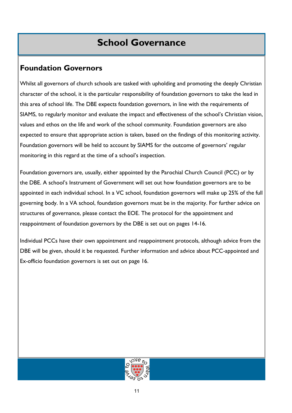## **School Governance**

### **Foundation Governors**

Whilst all governors of church schools are tasked with upholding and promoting the deeply Christian character of the school, it is the particular responsibility of foundation governors to take the lead in this area of school life. The DBE expects foundation governors, in line with the requirements of SIAMS, to regularly monitor and evaluate the impact and effectiveness of the school's Christian vision, values and ethos on the life and work of the school community. Foundation governors are also expected to ensure that appropriate action is taken, based on the findings of this monitoring activity. Foundation governors will be held to account by SIAMS for the outcome of governors' regular monitoring in this regard at the time of a school's inspection.

Foundation governors are, usually, either appointed by the Parochial Church Council (PCC) or by the DBE. A school's Instrument of Government will set out how foundation governors are to be appointed in each individual school. In a VC school, foundation governors will make up 25% of the full governing body. In a VA school, foundation governors must be in the majority. For further advice on structures of governance, please contact the EOE. The protocol for the appointment and reappointment of foundation governors by the DBE is set out on pages 14-16.

Individual PCCs have their own appointment and reappointment protocols, although advice from the DBE will be given, should it be requested. Further information and advice about PCC-appointed and Ex-officio foundation governors is set out on page 16.

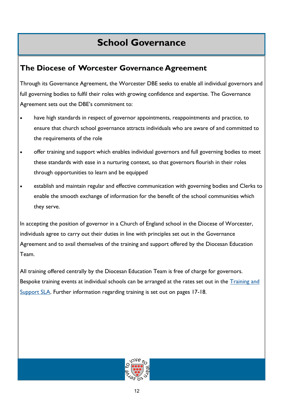## **School Governance**

### **The Diocese of Worcester Governance Agreement**

Through its Governance Agreement, the Worcester DBE seeks to enable all individual governors and full governing bodies to fulfil their roles with growing confidence and expertise. The Governance Agreement sets out the DBE's commitment to:

- have high standards in respect of governor appointments, reappointments and practice, to ensure that church school governance attracts individuals who are aware of and committed to the requirements of the role
- offer training and support which enables individual governors and full governing bodies to meet these standards with ease in a nurturing context, so that governors flourish in their roles through opportunities to learn and be equipped
- establish and maintain regular and effective communication with governing bodies and Clerks to enable the smooth exchange of information for the benefit of the school communities which they serve.

In accepting the position of governor in a Church of England school in the Diocese of Worcester, individuals agree to carry out their duties in line with principles set out in the Governance Agreement and to avail themselves of the training and support offered by the Diocesan Education Team.

All training offered centrally by the Diocesan Education Team is free of charge for governors. Bespoke training events at individual schools can be arranged at the rates set out in the Training and [Support SLA.](https://d3hgrlq6yacptf.cloudfront.net/5f2144e1c592d/content/pages/documents/1607684286.pdf) Further information regarding training is set out on pages 17-18.

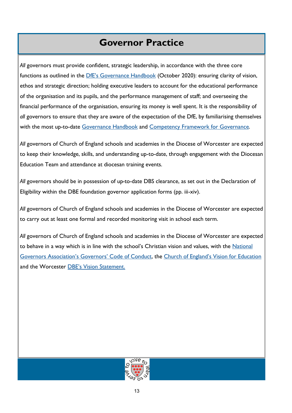## **Governor Practice**

All governors must provide confident, strategic leadership, in accordance with the three core functions as outlined in the [DfE's Governance Handbook](https://www.cofe-worcester.org.uk/schools/school-governance/) (October 2020): ensuring clarity of vision, ethos and strategic direction; holding executive leaders to account for the educational performance of the organisation and its pupils, and the performance management of staff; and overseeing the financial performance of the organisation, ensuring its money is well spent. It is the responsibility of *all* governors to ensure that they are aware of the expectation of the DfE, by familiarising themselves with the most up-to-date [Governance Handbook](https://www.cofe-worcester.org.uk/schools/school-governance/) and [Competency Framework for Governance.](https://www.cofe-worcester.org.uk/schools/school-governance/) 

*All* governors of Church of England schools and academies in the Diocese of Worcester are expected to keep their knowledge, skills, and understanding up-to-date, through engagement with the Diocesan Education Team and attendance at diocesan training events.

All governors should be in possession of up-to-date DBS clearance, as set out in the Declaration of Eligibility within the DBE foundation governor application forms (pp. iii-xiv).

*All* governors of Church of England schools and academies in the Diocese of Worcester are expected to carry out at least one formal and recorded monitoring visit in school each term.

*All* governors of Church of England schools and academies in the Diocese of Worcester are expected to behave in a way which is in line with the school's Christian vision and values, with the National [Governors Association's Governors' Code of Conduct](https://www.nga.org.uk/codeofconduct2017), the [Church of England's Vision for Education](https://cofeworcester.contentfiles.net/media/assets/file/VISION.pdf) and the Worcester [DBE's Vision Statement.](https://cofeworcester.contentfiles.net/media/assets/file/DBE_Vision_Statement_-_November_2017.pdf)

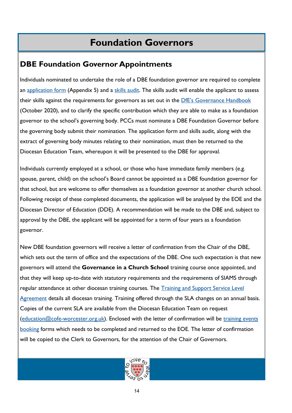## **Foundation Governors**

### **DBE Foundation Governor Appointments**

Individuals nominated to undertake the role of a DBE foundation governor are required to complete an [application form](https://www.cofe-worcester.org.uk/schools/school-governance/) (Appendix 5) and a [skills audit.](https://www.cofe-worcester.org.uk/schools/school-governance/) The skills audit will enable the applicant to assess their skills against the requirements for governors as set out in the [DfE's Governance Handbook](https://www.cofe-worcester.org.uk/schools/school-governance/) (October 2020), and to clarify the specific contribution which they are able to make as a foundation governor to the school's governing body. PCCs must nominate a DBE Foundation Governor before the governing body submit their nomination. The application form and skills audit, along with the extract of governing body minutes relating to their nomination, must then be returned to the Diocesan Education Team, whereupon it will be presented to the DBE for approval.

Individuals currently employed at a school, or those who have immediate family members (e.g. spouse, parent, child) on the school's Board cannot be appointed as a DBE foundation governor for that school, but are welcome to offer themselves as a foundation governor at another church school. Following receipt of these completed documents, the application will be analysed by the EOE and the Diocesan Director of Education (DDE). A recommendation will be made to the DBE and, subject to approval by the DBE, the applicant will be appointed for a term of four years as a foundation governor.

New DBE foundation governors will receive a letter of confirmation from the Chair of the DBE, which sets out the term of office and the expectations of the DBE. One such expectation is that new governors will attend the **Governance in a Church School** training course once appointed, and that they will keep up-to-date with statutory requirements and the requirements of SIAMS through regular attendance at other diocesan training courses. The [Training and Support Service Level](https://www.cofe-worcester.org.uk/content/pages/documents/1593783451.pdf)  [Agreement](https://www.cofe-worcester.org.uk/content/pages/documents/1593783451.pdf) details all diocesan training. Training offered through the SLA changes on an annual basis. Copies of the current SLA are available from the Diocesan Education Team on request ([education@cofe-worcester.org.uk\)](mailto:education@cofe-worcester.org.uk). Enclosed with the letter of confirmation will be training events [booking](https://www.cofe-worcester.org.uk/schools/training-and-support/) forms which needs to be completed and returned to the EOE. The letter of confirmation will be copied to the Clerk to Governors, for the attention of the Chair of Governors.

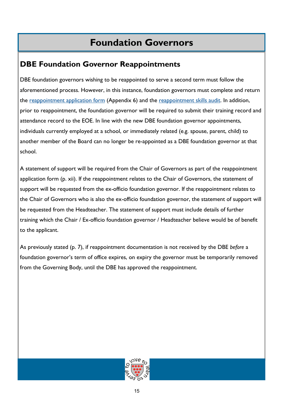## **Foundation Governors**

### **DBE Foundation Governor Reappointments**

DBE foundation governors wishing to be reappointed to serve a second term must follow the aforementioned process. However, in this instance, foundation governors must complete and return the [reappointment application form](https://www.cofe-worcester.org.uk/schools/school-governance/) (Appendix 6) and the [reappointment skills audit.](https://www.cofe-worcester.org.uk/schools/school-governance/) In addition, prior to reappointment, the foundation governor will be required to submit their training record and attendance record to the EOE. In line with the new DBE foundation governor appointments, individuals currently employed at a school, or immediately related (e.g. spouse, parent, child) to another member of the Board can no longer be re-appointed as a DBE foundation governor at that school.

A statement of support will be required from the Chair of Governors as part of the reappointment application form (p. xii). If the reappointment relates to the Chair of Governors, the statement of support will be requested from the ex-officio foundation governor. If the reappointment relates to the Chair of Governors who is also the ex-officio foundation governor, the statement of support will be requested from the Headteacher. The statement of support must include details of further training which the Chair / Ex-officio foundation governor / Headteacher believe would be of benefit to the applicant.

As previously stated (p. 7), if reappointment documentation is not received by the DBE *before* a foundation governor's term of office expires, on expiry the governor must be temporarily removed from the Governing Body, until the DBE has approved the reappointment.

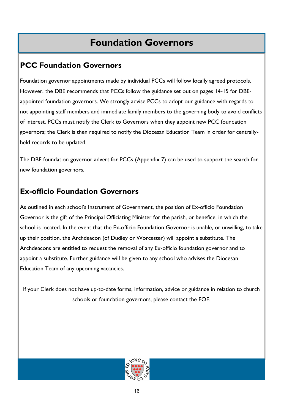## **Foundation Governors**

### **PCC Foundation Governors**

Foundation governor appointments made by individual PCCs will follow locally agreed protocols. However, the DBE recommends that PCCs follow the guidance set out on pages 14-15 for DBEappointed foundation governors. We strongly advise PCCs to adopt our guidance with regards to not appointing staff members and immediate family members to the governing body to avoid conflicts of interest. PCCs must notify the Clerk to Governors when they appoint new PCC foundation governors; the Clerk is then required to notify the Diocesan Education Team in order for centrallyheld records to be updated.

The DBE foundation governor advert for PCCs (Appendix 7) can be used to support the search for new foundation governors.

### **Ex-officio Foundation Governors**

As outlined in each school's Instrument of Government, the position of Ex-officio Foundation Governor is the gift of the Principal Officiating Minister for the parish, or benefice, in which the school is located. In the event that the Ex-officio Foundation Governor is unable, or unwilling, to take up their position, the Archdeacon (of Dudley or Worcester) will appoint a substitute. The Archdeacons are entitled to request the removal of any Ex-officio foundation governor and to appoint a substitute. Further guidance will be given to any school who advises the Diocesan Education Team of any upcoming vacancies.

If your Clerk does not have up-to-date forms, information, advice or guidance in relation to church schools or foundation governors, please contact the EOE.

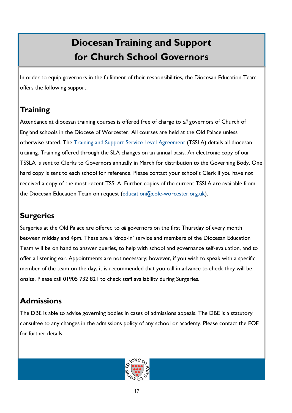## **Diocesan Training and Support for Church School Governors**

In order to equip governors in the fulfilment of their responsibilities, the Diocesan Education Team offers the following support.

### **Training**

Attendance at diocesan training courses is offered free of charge to *all* governors of Church of England schools in the Diocese of Worcester. All courses are held at the Old Palace unless otherwise stated. The [Training and Support Service Level Agreement](https://www.cofe-worcester.org.uk/content/pages/documents/1593783451.pdf) (TSSLA) details all diocesan training. Training offered through the SLA changes on an annual basis. An electronic copy of our TSSLA is sent to Clerks to Governors annually in March for distribution to the Governing Body. One hard copy is sent to each school for reference. Please contact your school's Clerk if you have not received a copy of the most recent TSSLA. Further copies of the current TSSLA are available from the Diocesan Education Team on request ([education@cofe-worcester.org.uk\).](mailto:education@cofe-worcester.org.uk)

### **Surgeries**

Surgeries at the Old Palace are offered to *all* governors on the first Thursday of every month between midday and 4pm. These are a 'drop-in' service and members of the Diocesan Education Team will be on hand to answer queries, to help with school and governance self-evaluation, and to offer a listening ear. Appointments are not necessary; however, if you wish to speak with a specific member of the team on the day, it is recommended that you call in advance to check they will be onsite. Please call 01905 732 821 to check staff availability during Surgeries.

### **Admissions**

The DBE is able to advise governing bodies in cases of admissions appeals. The DBE is a statutory consultee to any changes in the admissions policy of any school or academy. Please contact the EOE for further details.

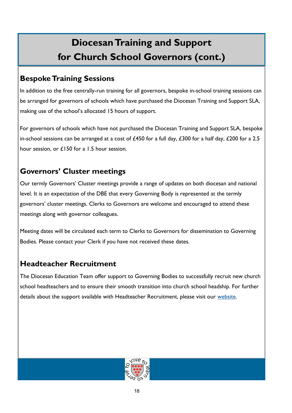## **Diocesan Training and Support for Church School Governors (cont.)**

### **Bespoke Training Sessions**

In addition to the free centrally-run training for all governors, bespoke in-school training sessions can be arranged for governors of schools which have purchased the Diocesan Training and Support SLA, making use of the school's allocated 15 hours of support.

For governors of schools which have not purchased the Diocesan Training and Support SLA, bespoke in-school sessions can be arranged at a cost of £450 for a full day, £300 for a half day, £200 for a 2.5 hour session, or £150 for a 1.5 hour session.

### **Governors' Cluster meetings**

Our termly Governors' Cluster meetings provide a range of updates on both diocesan and national level. It is an expectation of the DBE that every Governing Body is represented at the termly governors' cluster meetings. Clerks to Governors are welcome and encouraged to attend these meetings along with governor colleagues.

Meeting dates will be circulated each term to Clerks to Governors for dissemination to Governing Bodies. Please contact your Clerk if you have not received these dates.

### **Headteacher Recruitment**

The Diocesan Education Team offer support to Governing Bodies to successfully recruit new church school headteachers and to ensure their smooth transition into church school headship. For further details about the support available with Headteacher Recruitment, please visit our [website.](https://www.cofe-worcester.org.uk/schools/school-governance/)

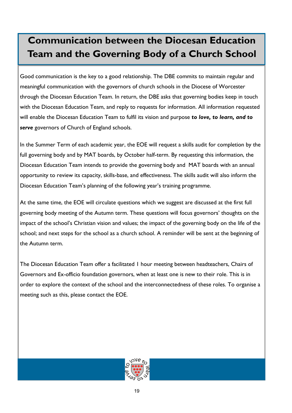## **Communication between the Diocesan Education Team and the Governing Body of a Church School**

Good communication is the key to a good relationship. The DBE commits to maintain regular and meaningful communication with the governors of church schools in the Diocese of Worcester through the Diocesan Education Team. In return, the DBE asks that governing bodies keep in touch with the Diocesan Education Team, and reply to requests for information. All information requested will enable the Diocesan Education Team to fulfil its vision and purpose *to love, to learn, and to serve* governors of Church of England schools.

In the Summer Term of each academic year, the EOE will request a skills audit for completion by the full governing body and by MAT boards, by October half-term. By requesting this information, the Diocesan Education Team intends to provide the governing body and MAT boards with an annual opportunity to review its capacity, skills-base, and effectiveness. The skills audit will also inform the Diocesan Education Team's planning of the following year's training programme.

At the same time, the EOE will circulate questions which we suggest are discussed at the first full governing body meeting of the Autumn term. These questions will focus governors' thoughts on the impact of the school's Christian vision and values; the impact of the governing body on the life of the school; and next steps for the school as a church school. A reminder will be sent at the beginning of the Autumn term.

The Diocesan Education Team offer a facilitated 1 hour meeting between headteachers, Chairs of Governors and Ex-officio foundation governors, when at least one is new to their role. This is in order to explore the context of the school and the interconnectedness of these roles. To organise a meeting such as this, please contact the EOE.

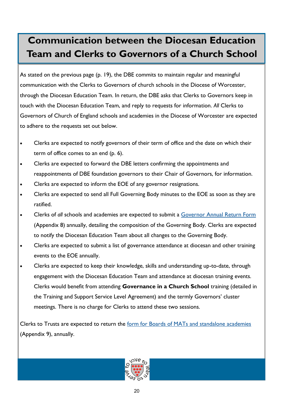## **Communication between the Diocesan Education Team and Clerks to Governors of a Church School**

As stated on the previous page (p. 19), the DBE commits to maintain regular and meaningful communication with the Clerks to Governors of church schools in the Diocese of Worcester, through the Diocesan Education Team. In return, the DBE asks that Clerks to Governors keep in touch with the Diocesan Education Team, and reply to requests for information. *All* Clerks to Governors of Church of England schools and academies in the Diocese of Worcester are expected to adhere to the requests set out below.

- Clerks are expected to notify governors of their term of office and the date on which their term of office comes to an end (p. 6).
- Clerks are expected to forward the DBE letters confirming the appointments and reappointments of DBE foundation governors to their Chair of Governors, for information.
- Clerks are expected to inform the EOE of any governor resignations.
- Clerks are expected to send all Full Governing Body minutes to the EOE as soon as they are ratified.
- Clerks of *all* schools and academies are expected to submit a [Governor Annual Return Form](https://www.cofe-worcester.org.uk/schools/school-governance/) (Appendix 8) annually, detailing the composition of the Governing Body. Clerks are expected to notify the Diocesan Education Team about all changes to the Governing Body.
- Clerks are expected to submit a list of governance attendance at diocesan and other training events to the EOE annually.
- Clerks are expected to keep their knowledge, skills and understanding up-to-date, through engagement with the Diocesan Education Team and attendance at diocesan training events. Clerks would benefit from attending **Governance in a Church School** training (detailed in the Training and Support Service Level Agreement) and the termly Governors' cluster meetings. There is no charge for Clerks to attend these two sessions.

Clerks to Trusts are expected to return the [form for Boards of MATs and standalone academies](https://www.cofe-worcester.org.uk/schools/school-governance/) (Appendix 9), annually.

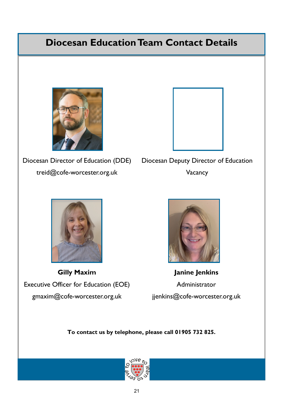## **Diocesan Education Team Contact Details**



Diocesan Director of Education (DDE) treid@cofe-worcester.org.uk



Diocesan Deputy Director of Education Vacancy



**Gilly Maxim**  Executive Officer for Education (EOE) gmaxim@cofe-worcester.org.uk jjenkins@cofe-worcester.org.uk



**Janine Jenkins** Administrator

**To contact us by telephone, please call 01905 732 825.**

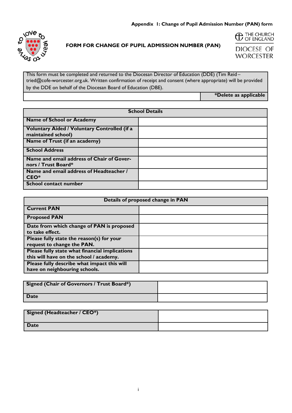

#### **FORM FOR CHANGE OF PUPIL ADMISSION NUMBER (PAN)**



**DIOCESE OF WORCESTER** 

This form must be completed and returned to the Diocesan Director of Education (DDE) (Tim Reid – tried@cofe-worcester.org.uk. Written confirmation of receipt and consent (where appropriate) will be provided by the DDE on behalf of the Diocesan Board of Education (DBE).

**\*Delete as applicable**

| <b>School Details</b>                                                     |  |
|---------------------------------------------------------------------------|--|
| <b>Name of School or Academy</b>                                          |  |
| <b>Voluntary Aided / Voluntary Controlled (if a</b><br>maintained school) |  |
| Name of Trust (if an academy)                                             |  |
| <b>School Address</b>                                                     |  |
| Name and email address of Chair of Gover-<br>nors / Trust Board*          |  |
| Name and email address of Headteacher /<br>CEO*                           |  |
| <b>School contact number</b>                                              |  |

| Details of proposed change in PAN                                                         |  |
|-------------------------------------------------------------------------------------------|--|
| <b>Current PAN</b>                                                                        |  |
| <b>Proposed PAN</b>                                                                       |  |
| Date from which change of PAN is proposed<br>to take effect.                              |  |
| Please fully state the reason(s) for your<br>request to change the PAN.                   |  |
| Please fully state what financial implications<br>this will have on the school / academy. |  |
| Please fully describe what impact this will<br>have on neighbouring schools.              |  |

| Signed (Chair of Governors / Trust Board*) |  |
|--------------------------------------------|--|
| <b>Date</b>                                |  |

| Signed (Headteacher / CEO*) |  |
|-----------------------------|--|
| <b>Date</b>                 |  |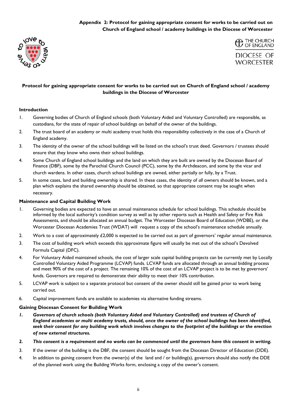#### **Appendix 2: Protocol for gaining appropriate consent for works to be carried out on Church of England school / academy buildings in the Diocese of Worcester**





#### **Protocol for gaining appropriate consent for works to be carried out on Church of England school / academy buildings in the Diocese of Worcester**

#### **Introduction**

- 1. Governing bodies of Church of England schools (both Voluntary Aided and Voluntary Controlled) are responsible, as custodians, for the state of repair of school buildings on behalf of the owner of the buildings.
- 2. The trust board of an academy or multi academy trust holds this responsibility collectively in the case of a Church of England academy.
- 3. The identity of the owner of the school buildings will be listed on the school's trust deed. Governors / trustees should ensure that they know who owns their school buildings.
- 4. Some Church of England school buildings and the land on which they are built are owned by the Diocesan Board of Finance (DBF), some by the Parochial Church Council (PCC), some by the Archdeacon, and some by the vicar and church wardens. In other cases, church school buildings are owned, either partially or fully, by a Trust.
- 5. In some cases, land and building ownership is shared. In these cases, the identity of *all* owners should be known, and a plan which explains the shared ownership should be obtained, so that appropriate consent may be sought when necessary.

#### **Maintenance and Capital Building Work**

- 1. Governing bodies are expected to have an annual maintenance schedule for school buildings. This schedule should be informed by the local authority's condition survey as well as by other reports such as Health and Safety or Fire Risk Assessments, and should be allocated an annual budget. The Worcester Diocesan Board of Education (WDBE), or the Worcester Diocesan Academies Trust (WDAT) will request a copy of the school's maintenance schedule annually.
- 2. Work to a cost of approximately £2,000 is expected to be carried out as part of governors' regular annual maintenance.
- 3. The cost of building work which exceeds this approximate figure will usually be met out of the school's Devolved Formula Capital (DFC).
- 4. For Voluntary Aided maintained schools, the cost of larger scale capital building projects can be currently met by Locally Controlled Voluntary Aided Programme (LCVAP) funds. LCVAP funds are allocated through an annual bidding process and meet 90% of the cost of a project. The remaining 10% of the cost of an LCVAP project is to be met by governors' funds. Governors are required to demonstrate their ability to meet their 10% contribution.
- 5. LCVAP work is subject to a separate protocol but consent of the owner should still be gained prior to work being carried out.
- 6. Capital improvement funds are available to academies via alternative funding streams.

#### **Gaining Diocesan Consent for Building Work**

- *1. Governors of church schools (both Voluntary Aided and Voluntary Controlled) and trustees of Church of England academies or multi academy trusts, should, once the owner of the school buildings has been identified, seek their consent for any building work which involves changes to the footprint of the buildings or the erection of new external structures.*
- *2. This consent is a requirement and no works can be commenced until the governors have this consent in writing.*
- 3. If the owner of the building is the DBF, the consent should be sought from the Diocesan Director of Education (DDE).
- 4. In addition to gaining consent from the owner(s) of the land and / or building(s), governors should also notify the DDE of the planned work using the Building Works form, enclosing a copy of the owner's consent.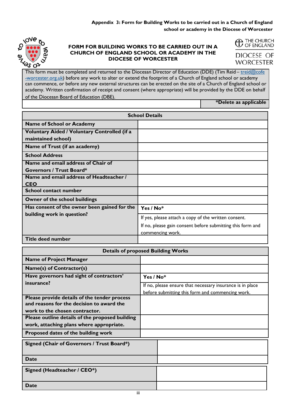

#### **FORM FOR BUILDING WORKS TO BE CARRIED OUT IN A CHURCH OF ENGLAND SCHOOL OR ACADEMY IN THE DIOCESE OF WORCESTER**

| <b>C</b> THE CHURCH |
|---------------------|
|                     |

DIOCESE OF **WORCESTER** 

This form must be completed and returned to the Diocesan Director of Education (DDE) (Tim Reid-[treid@cofe](mailto:mjames@cofe-worcester.org.uk) [-worcester.org.uk\)](mailto:mjames@cofe-worcester.org.uk) before any work to alter or extend the footprint of a Church of England school or academy can commence, or before any new external structures can be erected on the site of a Church of England school or academy. Written confirmation of receipt and consent (where appropriate) will be provided by the DDE on behalf of the Diocesan Board of Education (DBE).

**\*Delete as applicable**

| <b>School Details</b>                        |                                                            |
|----------------------------------------------|------------------------------------------------------------|
| <b>Name of School or Academy</b>             |                                                            |
| Voluntary Aided / Voluntary Controlled (if a |                                                            |
| maintained school)                           |                                                            |
| Name of Trust (if an academy)                |                                                            |
| <b>School Address</b>                        |                                                            |
| Name and email address of Chair of           |                                                            |
| <b>Governors / Trust Board*</b>              |                                                            |
| Name and email address of Headteacher /      |                                                            |
| <b>CEO</b>                                   |                                                            |
| <b>School contact number</b>                 |                                                            |
| Owner of the school buildings                |                                                            |
| Has consent of the owner been gained for the | Yes / $No*$                                                |
| building work in question?                   | If yes, please attach a copy of the written consent.       |
|                                              | If no, please gain consent before submitting this form and |
|                                              | commencing work.                                           |
| <b>Title deed number</b>                     |                                                            |

| <b>Details of proposed Building Works</b>       |                                                           |  |
|-------------------------------------------------|-----------------------------------------------------------|--|
| <b>Name of Project Manager</b>                  |                                                           |  |
| Name(s) of Contractor(s)                        |                                                           |  |
| Have governors had sight of contractors'        | Yes / $No*$                                               |  |
| insurance?                                      | If no, please ensure that necessary insurance is in place |  |
|                                                 | before submitting this form and commencing work.          |  |
| Please provide details of the tender process    |                                                           |  |
| and reasons for the decision to award the       |                                                           |  |
| work to the chosen contractor.                  |                                                           |  |
| Please outline details of the proposed building |                                                           |  |
| work, attaching plans where appropriate.        |                                                           |  |
| Proposed dates of the building work             |                                                           |  |
| Signed (Chair of Governors / Trust Board*)      |                                                           |  |
|                                                 |                                                           |  |
| <b>Date</b>                                     |                                                           |  |
| Signed (Headteacher / CEO*)                     |                                                           |  |
|                                                 |                                                           |  |
| <b>Date</b>                                     |                                                           |  |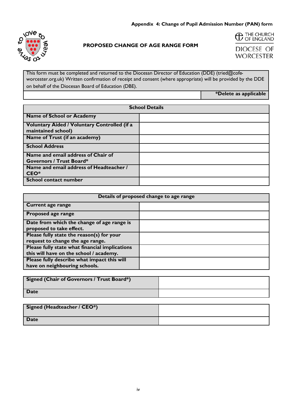

#### **PROPOSED CHANGE OF AGE RANGE FORM**

**C** THE CHURCH

**DIOCESE OF WORCESTER** 

This form must be completed and returned to the Diocesan Director of Education (DDE) (tried@cofeworcester.org.uk) Written confirmation of receipt and consent (where appropriate) will be provided by the DDE on behalf of the Diocesan Board of Education (DBE).

**\*Delete as applicable**

| <b>School Details</b>                                                 |  |
|-----------------------------------------------------------------------|--|
| <b>Name of School or Academy</b>                                      |  |
| Voluntary Aided / Voluntary Controlled (if a<br>maintained school)    |  |
| Name of Trust (if an academy)                                         |  |
| <b>School Address</b>                                                 |  |
| Name and email address of Chair of<br><b>Governors / Trust Board*</b> |  |
| Name and email address of Headteacher /<br>CEO*                       |  |
| <b>School contact number</b>                                          |  |

| Details of proposed change to age range                                                   |  |
|-------------------------------------------------------------------------------------------|--|
| <b>Current age range</b>                                                                  |  |
| Proposed age range                                                                        |  |
| Date from which the change of age range is<br>proposed to take effect.                    |  |
| Please fully state the reason(s) for your<br>request to change the age range.             |  |
| Please fully state what financial implications<br>this will have on the school / academy. |  |
| Please fully describe what impact this will<br>have on neighbouring schools.              |  |

| Signed (Chair of Governors / Trust Board*) |  |
|--------------------------------------------|--|
| <b>Date</b>                                |  |

| Signed (Headteacher / CEO*) |  |
|-----------------------------|--|
| Date                        |  |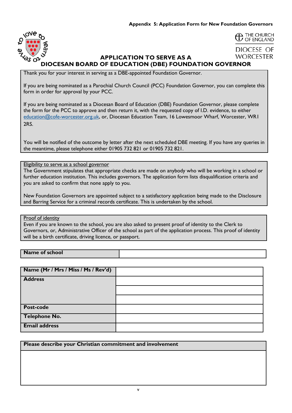

#### $\Delta$  THE CHURCH <sup>THE CHURCH</sup>

DIOCESE OF **WORCESTER** 

#### **APPLICATION TO SERVE AS A DIOCESAN BOARD OF EDUCATION (DBE) FOUNDATION GOVERNOR**

Thank you for your interest in serving as a DBE-appointed Foundation Governor.

If you are being nominated as a Parochial Church Council (PCC) Foundation Governor, you can complete this form in order for approval by your PCC.

If you are being nominated as a Diocesan Board of Education (DBE) Foundation Governor, please complete the form for the PCC to approve and then return it, with the requested copy of I.D. evidence, to either [education@cofe-worcester.org.uk,](mailto:education@cofe-worcester.org.uk) or, Diocesan Education Team, 16 Lowesmoor Wharf, Worcester, WR1 2RS.

You will be notified of the outcome by letter after the next scheduled DBE meeting. If you have any queries in the meantime, please telephone either 01905 732 821 or 01905 732 821.

#### Eligibility to serve as a school governor

The Government stipulates that appropriate checks are made on anybody who will be working in a school or further education institution. This includes governors. The application form lists disqualification criteria and you are asked to confirm that none apply to you.

New Foundation Governors are appointed subject to a satisfactory application being made to the Disclosure and Barring Service for a criminal records certificate. This is undertaken by the school.

#### Proof of identity

Even if you are known to the school, you are also asked to present proof of identity to the Clerk to Governors, or, Administrative Officer of the school as part of the application process. This proof of identity will be a birth certificate, driving licence, or passport.

#### **Name of school**

| Name (Mr / Mrs / Miss / Ms / Rev'd) |  |
|-------------------------------------|--|
| <b>Address</b>                      |  |
|                                     |  |
|                                     |  |
| <b>Post-code</b>                    |  |
| Telephone No.                       |  |
| <b>Email address</b>                |  |

#### **Please describe your Christian commitment and involvement**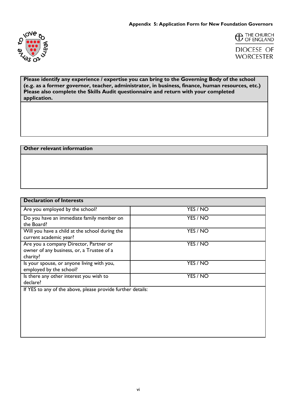



**Please identify any experience / expertise you can bring to the Governing Body of the school (e.g. as a former governor, teacher, administrator, in business, finance, human resources, etc.) Please also complete the Skills Audit questionnaire and return with your completed application.**

#### **Other relevant information**

| <b>Declaration of Interests</b>                                                                 |          |
|-------------------------------------------------------------------------------------------------|----------|
| Are you employed by the school?                                                                 | YES / NO |
| Do you have an immediate family member on<br>the Board?                                         | YES / NO |
| Will you have a child at the school during the<br>current academic year?                        | YES / NO |
| Are you a company Director, Partner or<br>owner of any business, or, a Trustee of a<br>charity? | YES / NO |
| Is your spouse, or anyone living with you,<br>employed by the school?                           | YES / NO |
| Is there any other interest you wish to<br>declare?                                             | YES / NO |
| If YES to any of the above, please provide further details:                                     |          |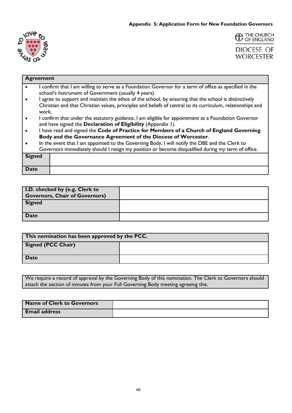



#### **Agreement**

- I confirm that I am willing to serve as a Foundation Governor for a term of office as specified in the school's Instrument of Government (usually 4 years).
- I agree to support and maintain the ethos of the school, by ensuring that the school is distinctively Christian and that Christian values, principles and beliefs of central to its curriculum, relationships and work.
- I confirm that under the statutory guidance, I am eligible for appointment as a Foundation Governor and have signed the **Declaration of Eligibility** (Appendix 1).
- I have read and signed the **Code of Practice for Members of a Church of England Governing Body and the Governance Agreement of the Diocese of Worcester**.
- In the event that I am appointed to the Governing Body, I will notify the DBE and the Clerk to Governors immediately should I resign my position or become disqualified during my term of office.

| <b>Signed</b> |  |
|---------------|--|
| Date          |  |

| <b>I.D.</b> checked by (e.g. Clerk to |  |
|---------------------------------------|--|
| <b>Governors, Chair of Governors)</b> |  |
| <b>Signed</b>                         |  |
| <b>Date</b>                           |  |

| This nomination has been approved by the PCC. |  |
|-----------------------------------------------|--|
| <b>Signed (PCC Chair)</b>                     |  |
| Date                                          |  |

We require a record of approval by the Governing Body of this nomination. The Clerk to Governors should attach the section of minutes from your Full Governing Body meeting agreeing this.

| Name of Clerk to Governors |  |
|----------------------------|--|
| <b>Email address</b>       |  |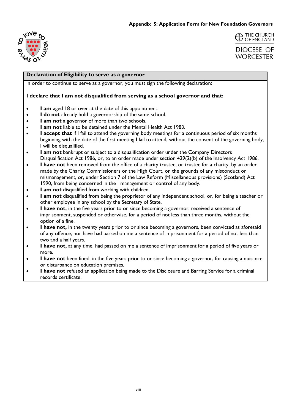



#### **Declaration of Eligibility to serve as a governor**

In order to continue to serve as a governor, you must sign the following declaration:

#### **I declare that I am not disqualified from serving as a school governor and that:**

- **I am** aged 18 or over at the date of this appointment.
- **I do not** already hold a governorship of the same school.
- **I am not** a governor of more than two schools.
- **I am not** liable to be detained under the Mental Health Act 1983.
- **• I accept that** if I fail to attend the governing body meetings for a continuous period of six months beginning with the date of the first meeting I fail to attend, without the consent of the governing body, I will be disqualified.
- **I am not** bankrupt or subject to a disqualification order under the Company Directors Disqualification Act 1986, or, to an order made under section 429(2)(b) of the Insolvency Act 1986.
- **I have not** been removed from the office of a charity trustee, or trustee for a charity, by an order made by the Charity Commissioners or the High Court, on the grounds of any misconduct or mismanagement, or, under Section 7 of the Law Reform (Miscellaneous provisions) (Scotland) Act 1990, from being concerned in the management or control of any body.
- **I am not** disqualified from working with children.
- **I am not** disqualified from being the proprietor of any independent school, or, for being a teacher or other employee in any school by the Secretary of State.
- **I have not,** in the five years prior to or since becoming a governor, received a sentence of imprisonment, suspended or otherwise, for a period of not less than three months, without the option of a fine.
- **I have not,** in the twenty years prior to or since becoming a governors, been convicted as aforesaid of any offence, nor have had passed on me a sentence of imprisonment for a period of not less than two and a half years.
- **I have not,** at any time, had passed on me a sentence of imprisonment for a period of five years or more.
- **I have not** been fined, in the five years prior to or since becoming a governor, for causing a nuisance or disturbance on education premises.
- **I have not** refused an application being made to the Disclosure and Barring Service for a criminal records certificate.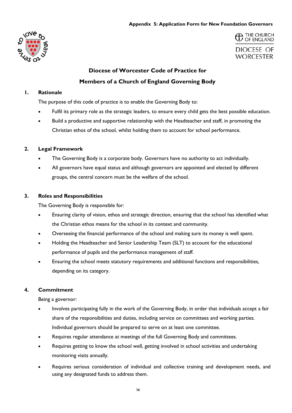#### **Appendix 5: Application Form for New Foundation Governors**





### **Diocese of Worcester Code of Practice for**

**Members of a Church of England Governing Body**

#### **1. Rationale**

The purpose of this code of practice is to enable the Governing Body to:

- Fulfil its primary role as the strategic leaders, to ensure every child gets the best possible education.
- Build a productive and supportive relationship with the Headteacher and staff, in promoting the Christian ethos of the school, whilst holding them to account for school performance.

#### **2. Legal Framework**

- The Governing Body is a corporate body. Governors have no authority to act individually.
- All governors have equal status and although governors are appointed and elected by different groups, the central concern must be the welfare of the school.

#### **3. Roles and Responsibilities**

The Governing Body is responsible for:

- Ensuring clarity of vision, ethos and strategic direction, ensuring that the school has identified what the Christian ethos means for the school in its context and community.
- Overseeing the financial performance of the school and making sure its money is well spent.
- Holding the Headteacher and Senior Leadership Team (SLT) to account for the educational performance of pupils and the performance management of staff.
- Ensuring the school meets statutory requirements and additional functions and responsibilities, depending on its category.

#### **4. Commitment**

Being a governor:

- Involves participating fully in the work of the Governing Body, in order that individuals accept a fair share of the responsibilities and duties, including service on committees and working parties. Individual governors should be prepared to serve on at least one committee.
- Requires regular attendance at meetings of the full Governing Body and committees.
- Requires getting to know the school well, getting involved in school activities and undertaking monitoring visits annually.
- Requires serious consideration of individual and collective training and development needs, and using any designated funds to address them.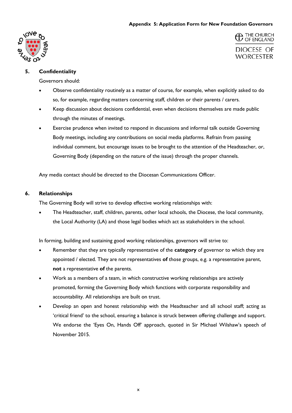#### **Appendix 5: Application Form for New Foundation Governors**



**C** THE CHURCH DIOCESE OF **WORCESTER** 

#### **5. Confidentiality**

Governors should:

- Observe confidentiality routinely as a matter of course, for example, when explicitly asked to do so, for example, regarding matters concerning staff, children or their parents / carers.
- Keep discussion about decisions confidential, even when decisions themselves are made public through the minutes of meetings.
- Exercise prudence when invited to respond in discussions and informal talk outside Governing Body meetings, including any contributions on social media platforms. Refrain from passing individual comment, but encourage issues to be brought to the attention of the Headteacher, or, Governing Body (depending on the nature of the issue) through the proper channels.

Any media contact should be directed to the Diocesan Communications Officer.

#### **6. Relationships**

The Governing Body will strive to develop effective working relationships with:

• The Headteacher, staff, children, parents, other local schools, the Diocese, the local community, the Local Authority (LA) and those legal bodies which act as stakeholders in the school.

In forming, building and sustaining good working relationships, governors will strive to:

- Remember that they are typically representative of the **category** of governor to which they are appointed / elected. They are not representatives **of** those groups, e.g. a representative parent, **not** a representative **of** the parents.
- Work as a members of a team, in which constructive working relationships are actively promoted, forming the Governing Body which functions with corporate responsibility and accountability. All relationships are built on trust.
- Develop an open and honest relationship with the Headteacher and all school staff; acting as 'critical friend' to the school, ensuring a balance is struck between offering challenge and support. We endorse the 'Eyes On, Hands Off' approach, quoted in Sir Michael Wilshaw's speech of November 2015.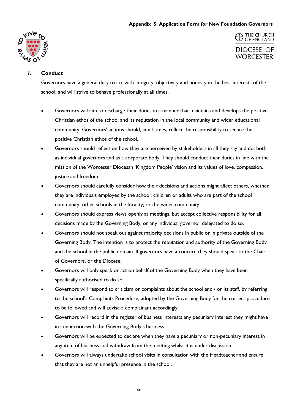#### **Appendix 5: Application Form for New Foundation Governors**



<sup>THE CHURCH</sup> DIOCESE OF **WORCESTER** 

#### **7. Conduct**

Governors have a general duty to act with integrity, objectivity and honesty in the best interests of the school, and will strive to behave professionally at all times.

- Governors will aim to discharge their duties in a manner that maintains and develops the positive Christian ethos of the school and its reputation in the local community and wider educational community. Governors' actions should, at all times, reflect the responsibility to secure the positive Christian ethos of the school.
- Governors should reflect on how they are perceived by stakeholders in all they say and do, both as individual governors and as a corporate body. They should conduct their duties in line with the mission of the Worcester Diocesan 'Kingdom People' vision and its values of love, compassion, justice and freedom.
- Governors should carefully consider how their decisions and actions might affect others, whether they are individuals employed by the school; children or adults who are part of the school community; other schools in the locality; or the wider community.
- Governors should express views openly at meetings, but accept collective responsibility for all decisions made by the Governing Body, or any individual governor delegated to do so.
- Governors should not speak out against majority decisions in public or in private outside of the Governing Body. The intention is to protect the reputation and authority of the Governing Body and the school in the public domain. If governors have a concern they should speak to the Chair of Governors, or the Diocese.
- Governors will only speak or act on behalf of the Governing Body when they have been specifically authorised to do so.
- Governors will respond to criticism or complaints about the school and / or its staff, by referring to the school's Complaints Procedure, adopted by the Governing Body for the correct procedure to be followed and will advise a complainant accordingly.
- Governors will record in the register of business interests any pecuniary interest they might have in connection with the Governing Body's business.
- Governors will be expected to declare when they have a pecuniary or non-pecuniary interest in any item of business and withdraw from the meeting whilst it is under discussion.
- Governors will always undertake school visits in consultation with the Headteacher and ensure that they are not an unhelpful presence in the school.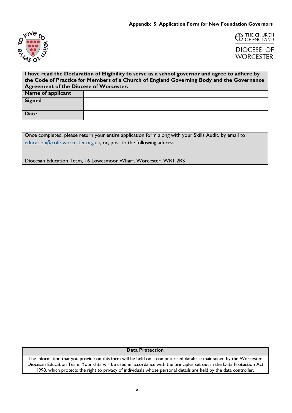



| I have read the Declaration of Eligibility to serve as a school governor and agree to adhere by |  |  |
|-------------------------------------------------------------------------------------------------|--|--|
| the Code of Practice for Members of a Church of England Governing Body and the Governance       |  |  |
| <b>Agreement of the Diocese of Worcester.</b>                                                   |  |  |
| <b>Name of applicant</b>                                                                        |  |  |
| <b>Signed</b>                                                                                   |  |  |
|                                                                                                 |  |  |
| Date                                                                                            |  |  |
|                                                                                                 |  |  |

Once completed, please return your entire application form along with your Skills Audit, by email to [education@cofe-worcester.org.uk,](mailto:education@cofe-worcester.org.uk) or, post to the following address:

Diocesan Education Team, 16 Lowesmoor Wharf, Worcester. WR1 2RS

**Data Protection**

The information that you provide on this form will be held on a computerised database maintained by the Worcester Diocesan Education Team. Your data will be used in accordance with the principles set out in the Data Protection Act 1998, which protects the right to privacy of individuals whose personal details are held by the data controller.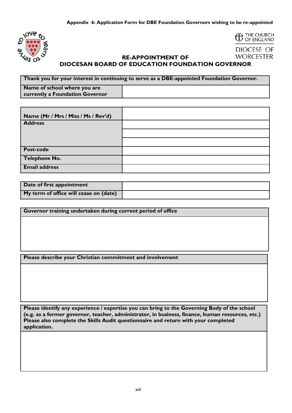

## <sup>THE CHURCH</sup><br>
OF ENGLAND

DIOCESE OF **WORCESTER** 

#### **RE-APPOINTMENT OF DIOCESAN BOARD OF EDUCATION FOUNDATION GOVERNOR**

**Thank you for your interest in continuing to serve as a DBE-appointed Foundation Governor. Name of school where you are currently a Foundation Governor**

| Name (Mr / Mrs / Miss / Ms / Rev'd) |  |
|-------------------------------------|--|
| <b>Address</b>                      |  |
|                                     |  |
|                                     |  |
| Post-code                           |  |
| <b>Telephone No.</b>                |  |
| <b>Email address</b>                |  |

| Date of first appointment              |  |
|----------------------------------------|--|
| My term of office will cease on (date) |  |

**Governor training undertaken during current period of office**

**Please describe your Christian commitment and involvement**

**Please identify any experience / expertise you can bring to the Governing Body of the school (e.g. as a former governor, teacher, administrator, in business, finance, human resources, etc.) Please also complete the Skills Audit questionnaire and return with your completed application.**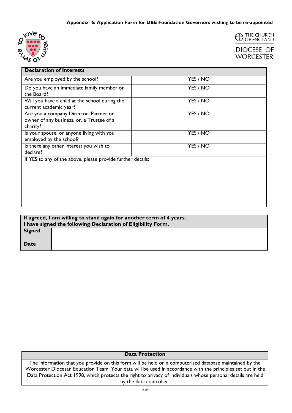



| <b>Declaration of Interests</b>                                                                 |          |
|-------------------------------------------------------------------------------------------------|----------|
| Are you employed by the school?                                                                 | YES / NO |
| Do you have an immediate family member on<br>the Board?                                         | YES / NO |
| Will you have a child at the school during the<br>current academic year?                        | YES / NO |
| Are you a company Director, Partner or<br>owner of any business, or, a Trustee of a<br>charity? | YES / NO |
| Is your spouse, or anyone living with you,<br>employed by the school?                           | YES / NO |
| Is there any other interest you wish to<br>declare?                                             | YES / NO |
| If YES to any of the above, please provide further details:                                     |          |

| If agreed, I am willing to stand again for another term of 4 years.<br>I have signed the following Declaration of Eligibility Form. |  |
|-------------------------------------------------------------------------------------------------------------------------------------|--|
| Signed                                                                                                                              |  |
| <b>Date</b>                                                                                                                         |  |

#### **Data Protection**

The information that you provide on this form will be held on a computerised database maintained by the Worcester Diocesan Education Team. Your data will be used in accordance with the principles set out in the Data Protection Act 1998, which protects the right to privacy of individuals whose personal details are held by the data controller.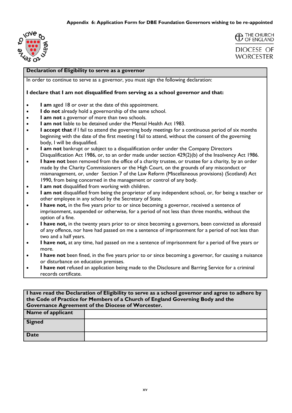



**WORCESTER** 

#### **Declaration of Eligibility to serve as a governor**

In order to continue to serve as a governor, you must sign the following declaration:

#### **I declare that I am not disqualified from serving as a school governor and that:**

- **I am** aged 18 or over at the date of this appointment.
- **I do not** already hold a governorship of the same school.
- **I am not** a governor of more than two schools.
- **I am not** liable to be detained under the Mental Health Act 1983.
- **I accept that** if I fail to attend the governing body meetings for a continuous period of six months beginning with the date of the first meeting I fail to attend, without the consent of the governing body, I will be disqualified.
- **I am not** bankrupt or subject to a disqualification order under the Company Directors Disqualification Act 1986, or, to an order made under section 429(2)(b) of the Insolvency Act 1986.
- **I have not** been removed from the office of a charity trustee, or trustee for a charity, by an order made by the Charity Commissioners or the High Court, on the grounds of any misconduct or mismanagement, or, under Section 7 of the Law Reform (Miscellaneous provisions) (Scotland) Act 1990, from being concerned in the management or control of any body.
- **I am not** disqualified from working with children.
- **I am not** disqualified from being the proprietor of any independent school, or, for being a teacher or other employee in any school by the Secretary of State.
- **I have not,** in the five years prior to or since becoming a governor, received a sentence of imprisonment, suspended or otherwise, for a period of not less than three months, without the option of a fine.
- **I have not,** in the twenty years prior to or since becoming a governors, been convicted as aforesaid of any offence, nor have had passed on me a sentence of imprisonment for a period of not less than two and a half years.
- **I have not,** at any time, had passed on me a sentence of imprisonment for a period of five years or more.
- **I have not** been fined, in the five years prior to or since becoming a governor, for causing a nuisance or disturbance on education premises.
- **I have not** refused an application being made to the Disclosure and Barring Service for a criminal records certificate.

| I have read the Declaration of Eligibility to serve as a school governor and agree to adhere by<br>the Code of Practice for Members of a Church of England Governing Body and the<br><b>Governance Agreement of the Diocese of Worcester.</b> |  |
|-----------------------------------------------------------------------------------------------------------------------------------------------------------------------------------------------------------------------------------------------|--|
| Name of applicant                                                                                                                                                                                                                             |  |
| Signed                                                                                                                                                                                                                                        |  |
| <b>Date</b>                                                                                                                                                                                                                                   |  |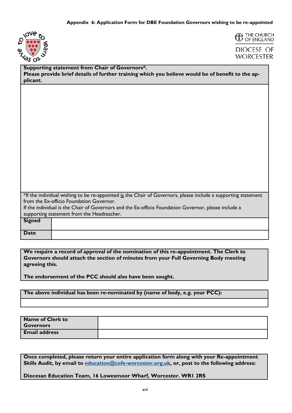



| Supporting statement from Chair of Governors*.                                                    |
|---------------------------------------------------------------------------------------------------|
| Please provide brief details of further training which you believe would be of benefit to the ap- |
| plicant.                                                                                          |

| $*$ If the individual wishing to be re-appointed is the Chair of Governors, please include a supporting statement |
|-------------------------------------------------------------------------------------------------------------------|
| from the Ex-officio Foundation Governor.                                                                          |
| If the individual is the Chair of Governors and the Ex-officio Foundation Governor, please include a              |

If the individual is the Chair of Governors and the Ex-officio Foundation Governor, please include a supporting statement from the Headteacher.

| <b>Signed</b> |  |
|---------------|--|
| <b>Date</b>   |  |

**We require a record of approval of the nomination of this re-appointment. The Clerk to Governors should attach the section of minutes from your Full Governing Body meeting agreeing this.**

**The endorsement of the PCC should also have been sought.**

**The above individual has been re-nominated by (name of body, e.g. your PCC):**

| <b>Name of Clerk to</b><br><b>Governors</b> |  |
|---------------------------------------------|--|
| <b>Email address</b>                        |  |

**Once completed, please return your entire application form along with your Re-appointment Skills Audit, by email to [education@cofe-worcester.org.uk,](mailto:education@cofe-worcester.org.uk) or, post to the following address:**

**Diocesan Education Team, 16 Lowesmoor Wharf, Worcester. WR1 2RS**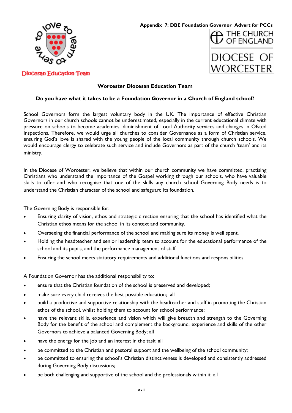

 $\mathbf 1$  THE CHURCH<br> $\mathcal G$  OF ENGLAND

#### **DioCesan EduCation Team**

#### **Worcester Diocesan Education Team**

#### **Do you have what it takes to be a Foundation Governor in a Church of England school?**

School Governors form the largest voluntary body in the UK. The importance of effective Christian Governors in our church schools cannot be underestimated, especially in the current educational climate with pressure on schools to become academies, diminishment of Local Authority services and changes in Ofsted Inspections. Therefore, we would urge all churches to consider Governance as a form of Christian service, ensuring God's love is shared with the young people of the local community through church schools. We would encourage clergy to celebrate such service and include Governors as part of the church 'team' and its ministry.

In the Diocese of Worcester, we believe that within our church community we have committed, practising Christians who understand the importance of the Gospel working through our schools, who have valuable skills to offer and who recognise that one of the skills any church school Governing Body needs is to understand the Christian character of the school and safeguard its foundation.

The Governing Body is responsible for:

- Ensuring clarity of vision, ethos and strategic direction ensuring that the school has identified what the Christian ethos means for the school in its context and community.
- Overseeing the financial performance of the school and making sure its money is well spent.
- Holding the headteacher and senior leadership team to account for the educational performance of the school and its pupils, and the performance management of staff.
- Ensuring the school meets statutory requirements and additional functions and responsibilities.

A Foundation Governor has the additional responsibility to:

- ensure that the Christian foundation of the school is preserved and developed;
- make sure every child receives the best possible education; all
- build a productive and supportive relationship with the headteacher and staff in promoting the Christian ethos of the school, whilst holding them to account for school performance;
- have the relevant skills, experience and vision which will give breadth and strength to the Governing Body for the benefit of the school and complement the background, experience and skills of the other Governors to achieve a balanced Governing Body; all
- have the energy for the job and an interest in the task; all
- be committed to the Christian and pastoral support and the wellbeing of the school community;
- be committed to ensuring the school's Christian distinctiveness is developed and consistently addressed during Governing Body discussions;
- be both challenging and supportive of the school and the professionals within it. all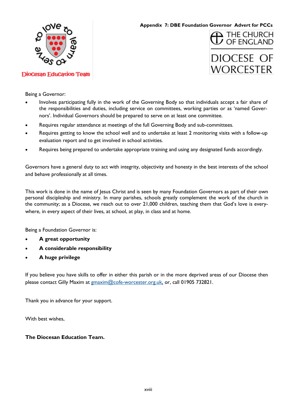

**DioCesan EduCation Team** 

**Appendix 7: DBE Foundation Governor Advert for PCCs**

# **DIOCESE OF WORCESTER**

 $\overline{\phantom{a}}$  THE CHURCH<br> $\overline{\phantom{a}}$  OF ENGLAND

Being a Governor:

- Involves participating fully in the work of the Governing Body so that individuals accept a fair share of the responsibilities and duties, including service on committees, working parties or as 'named Governors'. Individual Governors should be prepared to serve on at least one committee.
- Requires regular attendance at meetings of the full Governing Body and sub-committees.
- Requires getting to know the school well and to undertake at least 2 monitoring visits with a follow-up evaluation report and to get involved in school activities.
- Requires being prepared to undertake appropriate training and using any designated funds accordingly.

Governors have a general duty to act with integrity, objectivity and honesty in the best interests of the school and behave professionally at all times.

This work is done in the name of Jesus Christ and is seen by many Foundation Governors as part of their own personal discipleship and ministry. In many parishes, schools greatly complement the work of the church in the community; as a Diocese, we reach out to over 21,000 children, teaching them that God's love is everywhere, in every aspect of their lives, at school, at play, in class and at home.

Being a Foundation Governor is:

- **A great opportunity**
- **A considerable responsibility**
- **A huge privilege**

If you believe you have skills to offer in either this parish or in the more deprived areas of our Diocese then please contact Gilly Maxim at [gmaxim@cofe-worcester.org.uk,](mailto:gmaxim@cofe-worcester.org.uk) or, call 01905 732821.

Thank you in advance for your support.

With best wishes,

#### **The Diocesan Education Team.**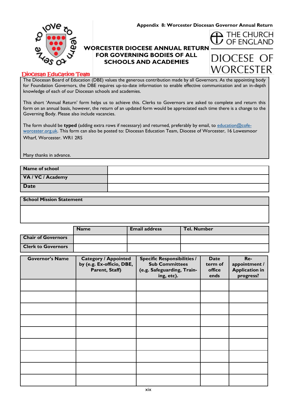**Appendix 8: Worcester Diocesan Governor Annual Return** 

 $\blacktriangle$  THE CHURCH OF FNGLAND

**DIOCESE** 

WORCESTER



#### **WORCESTER DIOCESE ANNUAL RETURN FOR GOVERNING BODIES OF ALL SCHOOLS AND ACADEMIES**

#### **DioCesan EduCation Team**

The Diocesan Board of Education (DBE) values the generous contribution made by all Governors. As the appointing body for Foundation Governors, the DBE requires up-to-date information to enable effective communication and an in-depth knowledge of each of our Diocesan schools and academies.

This short 'Annual Return' form helps us to achieve this. Clerks to Governors are asked to complete and return this form on an annual basis, however, the return of an updated form would be appreciated each time there is a change to the Governing Body. Please also include vacancies.

The form should be **typed** (adding extra rows if necessary) and returned, preferably by email, to [education@cofe](mailto:education@cofe-worcester.org.uk)[worcester.org.uk.](mailto:education@cofe-worcester.org.uk) This form can also be posted to: Diocesan Education Team, Diocese of Worcester, 16 Lowesmoor Wharf, Worcester. WR1 2RS

Many thanks in advance.

| Name of school    |  |
|-------------------|--|
| VA / VC / Academy |  |
| <b>Date</b>       |  |

#### **School Mission Statement**

|                           | <b>Name</b> | <b>Email address</b> | <b>Tel. Number</b> |  |  |
|---------------------------|-------------|----------------------|--------------------|--|--|
| <b>Chair of Governors</b> |             |                      |                    |  |  |
| <b>Clerk to Governors</b> |             |                      |                    |  |  |

| <b>Governor's Name</b> | <b>Category / Appointed</b><br>by (e.g. Ex-officio, DBE,<br>Parent, Staff) | <b>Specific Responsibilities /</b><br><b>Sub Committees</b><br>(e.g. Safeguarding, Train-<br>ing, etc). | <b>Date</b><br>term of<br>office<br>ends | Re-<br>appointment /<br><b>Application in</b><br>progress? |
|------------------------|----------------------------------------------------------------------------|---------------------------------------------------------------------------------------------------------|------------------------------------------|------------------------------------------------------------|
|                        |                                                                            |                                                                                                         |                                          |                                                            |
|                        |                                                                            |                                                                                                         |                                          |                                                            |
|                        |                                                                            |                                                                                                         |                                          |                                                            |
|                        |                                                                            |                                                                                                         |                                          |                                                            |
|                        |                                                                            |                                                                                                         |                                          |                                                            |
|                        |                                                                            |                                                                                                         |                                          |                                                            |
|                        |                                                                            |                                                                                                         |                                          |                                                            |
|                        |                                                                            |                                                                                                         |                                          |                                                            |
|                        |                                                                            |                                                                                                         |                                          |                                                            |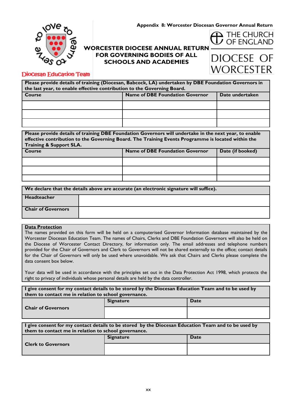**Appendix 8: Worcester Diocesan Governor Annual Return** 



#### **WORCESTER DIOCESE ANNUAL RETURN FOR GOVERNING BODIES OF ALL SCHOOLS AND ACADEMIES**

## DIOCESE OF **WORCESTER**

 $\mathbf{\Delta}$  THE CHURCH OF ENGLAND

#### **DioCesan EduCation Team**

| Please provide details of training (Diocesan, Babcock, LA) undertaken by DBE Foundation Governors in<br>the last year, to enable effective contribution to the Governing Board. |                                        |                 |  |
|---------------------------------------------------------------------------------------------------------------------------------------------------------------------------------|----------------------------------------|-----------------|--|
| Course                                                                                                                                                                          | <b>Name of DBE Foundation Governor</b> | Date undertaken |  |
|                                                                                                                                                                                 |                                        |                 |  |
|                                                                                                                                                                                 |                                        |                 |  |
|                                                                                                                                                                                 |                                        |                 |  |

| Please provide details of training DBE Foundation Governors will undertake in the next year, to enable |                                        |                  |  |
|--------------------------------------------------------------------------------------------------------|----------------------------------------|------------------|--|
| effective contribution to the Governing Board. The Training Events Programme is located within the     |                                        |                  |  |
| <b>Training &amp; Support SLA.</b>                                                                     |                                        |                  |  |
| Course                                                                                                 | <b>Name of DBE Foundation Governor</b> | Date (if booked) |  |

| ∣ ⊂ourse | <b>Name of DBC Foundation Governor</b> | <b>Date (II DOOKEG)</b> |
|----------|----------------------------------------|-------------------------|
|          |                                        |                         |
|          |                                        |                         |
|          |                                        |                         |

| We declare that the details above are accurate (an electronic signature will suffice). |  |  |
|----------------------------------------------------------------------------------------|--|--|
| <b>Headteacher</b>                                                                     |  |  |
| <b>Chair of Governors</b>                                                              |  |  |

#### **Data Protection**

The names provided on this form will be held on a computerised Governor Information database maintained by the Worcester Diocesan Education Team. The names of Chairs, Clerks and DBE Foundation Governors will also be held on the Diocese of Worcester Contact Directory, for information only. The email addresses and telephone numbers provided for the Chair of Governors and Clerk to Governors will not be shared externally to the office; contact details for the Chair of Governors will only be used where unavoidable. We ask that Chairs and Clerks please complete the data consent box below.

Your data will be used in accordance with the principles set out in the Data Protection Act 1998, which protects the right to privacy of individuals whose personal details are held by the data controller.

| I give consent for my contact details to be stored by the Diocesan Education Team and to be used by<br>them to contact me in relation to school governance. |                  |             |  |  |
|-------------------------------------------------------------------------------------------------------------------------------------------------------------|------------------|-------------|--|--|
|                                                                                                                                                             | <b>Signature</b> | <b>Date</b> |  |  |
| <b>Chair of Governors</b>                                                                                                                                   |                  |             |  |  |

| $\vert$ I give consent for my contact details to be stored by the Diocesan Education Team and to be used by<br>them to contact me in relation to school governance. |                  |      |  |  |
|---------------------------------------------------------------------------------------------------------------------------------------------------------------------|------------------|------|--|--|
| <b>Clerk to Governors</b>                                                                                                                                           | <b>Signature</b> | Date |  |  |
|                                                                                                                                                                     |                  |      |  |  |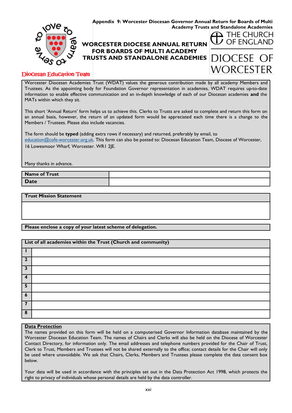

#### **DioCesan EduCation Team**

Worcester Diocesan Academies Trust (WDAT) values the generous contribution made by all academy Members and Trustees. As the appointing body for Foundation Governor representation in academies, WDAT requires up-to-date information to enable effective communication and an in-depth knowledge of each of our Diocesan academies **and** the MATs within which they sit.

This short 'Annual Return' form helps us to achieve this. Clerks to Trusts are asked to complete and return this form on an annual basis, however, the return of an updated form would be appreciated each time there is a change to the Members / Trustees. Please also include vacancies.

The form should be **typed** (adding extra rows if necessary) and returned, preferably by email, to [education@cofe-worcester.org.uk.](mailto:education@cofe-worcester.org.uk) This form can also be posted to: Diocesan Education Team, Diocese of Worcester, 16 Lowesmoor Wharf, Worcester. WR1 2JE.

Many thanks in advance.

| Name of Trust |  |
|---------------|--|
| Date          |  |

**Trust Mission Statement**

#### **Please enclose a copy of your latest scheme of delegation.**

#### **List of all academies within the Trust (Church and community)**

| $\overline{\phantom{a}}$ |  |
|--------------------------|--|
| 3                        |  |
| 4                        |  |
| 5                        |  |
| 6                        |  |
|                          |  |
| 8                        |  |

#### **Data Protection**

The names provided on this form will be held on a computerised Governor Information database maintained by the Worcester Diocesan Education Team. The names of Chairs and Clerks will also be held on the Diocese of Worcester Contact Directory, for information only. The email addresses and telephone numbers provided for the Chair of Trust, Clerk to Trust, Members and Trustees will not be shared externally to the office; contact details for the Chair will only be used where unavoidable. We ask that Chairs, Clerks, Members and Trustees please complete the data consent box below.

Your data will be used in accordance with the principles set out in the Data Protection Act 1998, which protects the right to privacy of individuals whose personal details are held by the data controller.